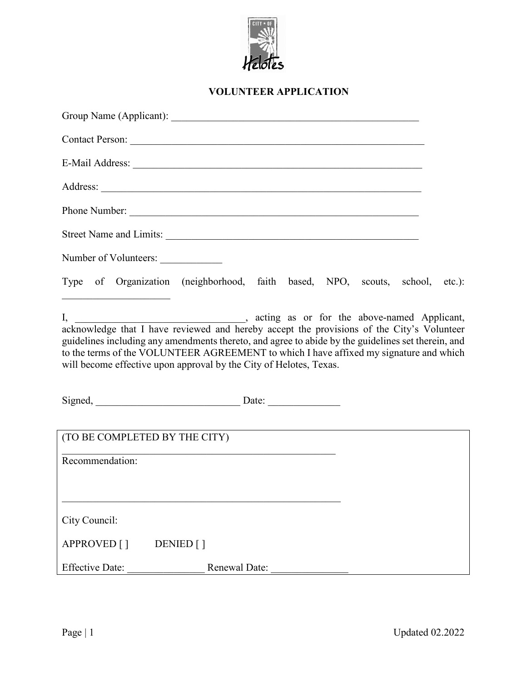

## **VOLUNTEER APPLICATION**

|                                                                    | Phone Number:                                                                                                                                                                                |
|--------------------------------------------------------------------|----------------------------------------------------------------------------------------------------------------------------------------------------------------------------------------------|
|                                                                    | Street Name and Limits:                                                                                                                                                                      |
| Number of Volunteers:                                              |                                                                                                                                                                                              |
| the control of the control of the control of the control of        | Type of Organization (neighborhood, faith based, NPO, scouts, school, etc.):                                                                                                                 |
| will become effective upon approval by the City of Helotes, Texas. | guidelines including any amendments thereto, and agree to abide by the guidelines set therein, and<br>to the terms of the VOLUNTEER AGREEMENT to which I have affixed my signature and which |
|                                                                    |                                                                                                                                                                                              |
| (TO BE COMPLETED BY THE CITY)                                      |                                                                                                                                                                                              |
| Recommendation:                                                    |                                                                                                                                                                                              |
| City Council:                                                      |                                                                                                                                                                                              |
| APPROVED []<br>DENIED []                                           |                                                                                                                                                                                              |
| <b>Effective Date:</b>                                             | Renewal Date:                                                                                                                                                                                |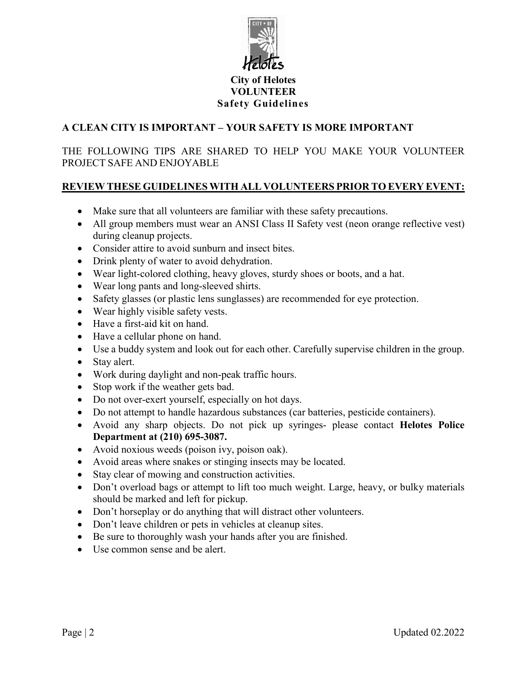

#### **City of Helotes VOLUNTEER Safety Guidelines**

#### **A CLEAN CITY IS IMPORTANT – YOUR SAFETY IS MORE IMPORTANT**

THE FOLLOWING TIPS ARE SHARED TO HELP YOU MAKE YOUR VOLUNTEER PROJECT SAFE AND ENJOYABLE

### **REVIEW THESE GUIDELINES WITH ALL VOLUNTEERS PRIOR TO EVERY EVENT:**

- Make sure that all volunteers are familiar with these safety precautions.
- All group members must wear an ANSI Class II Safety vest (neon orange reflective vest) during cleanup projects.
- Consider attire to avoid sunburn and insect bites.
- Drink plenty of water to avoid dehydration.
- Wear light-colored clothing, heavy gloves, sturdy shoes or boots, and a hat.
- Wear long pants and long-sleeved shirts.
- Safety glasses (or plastic lens sunglasses) are recommended for eye protection.
- Wear highly visible safety vests.
- Have a first-aid kit on hand.
- Have a cellular phone on hand.
- Use a buddy system and look out for each other. Carefully supervise children in the group.
- Stay alert.
- Work during daylight and non-peak traffic hours.
- Stop work if the weather gets bad.
- Do not over-exert yourself, especially on hot days.
- Do not attempt to handle hazardous substances (car batteries, pesticide containers).
- Avoid any sharp objects. Do not pick up syringes- please contact **Helotes Police Department at (210) 695-3087.**
- Avoid noxious weeds (poison ivy, poison oak).
- Avoid areas where snakes or stinging insects may be located.
- Stay clear of mowing and construction activities.
- Don't overload bags or attempt to lift too much weight. Large, heavy, or bulky materials should be marked and left for pickup.
- Don't horseplay or do anything that will distract other volunteers.
- Don't leave children or pets in vehicles at cleanup sites.
- Be sure to thoroughly wash your hands after you are finished.
- Use common sense and be alert.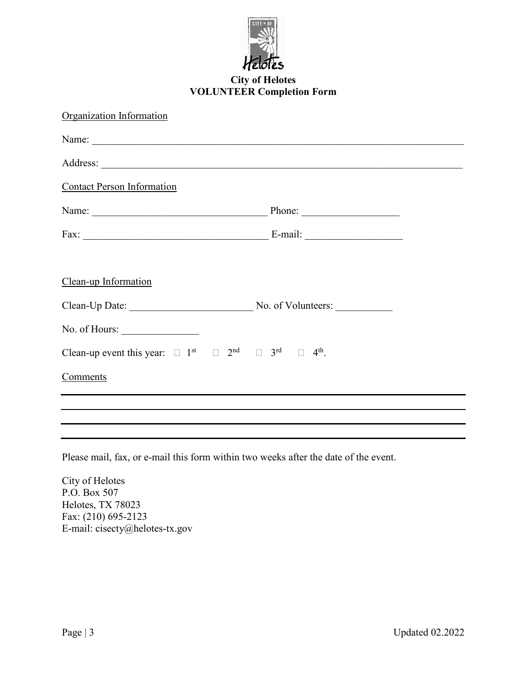

## **City of Helotes VOLUNTEER Completion Form**

| Organization Information                                                                                                |  |
|-------------------------------------------------------------------------------------------------------------------------|--|
|                                                                                                                         |  |
|                                                                                                                         |  |
| <b>Contact Person Information</b>                                                                                       |  |
|                                                                                                                         |  |
|                                                                                                                         |  |
| Clean-up Information                                                                                                    |  |
| Clean-Up Date: No. of Volunteers:                                                                                       |  |
|                                                                                                                         |  |
| Clean-up event this year: $\Box$ 1 <sup>st</sup> $\Box$ 2 <sup>nd</sup> $\Box$ 3 <sup>rd</sup> $\Box$ 4 <sup>th</sup> . |  |
| Comments                                                                                                                |  |
|                                                                                                                         |  |
|                                                                                                                         |  |

Please mail, fax, or e-mail this form within two weeks after the date of the event.

City of Helotes P.O. Box 507 Helotes, TX 78023 Fax: (210) 695-2123 E-mail: cisecty@helotes-tx.gov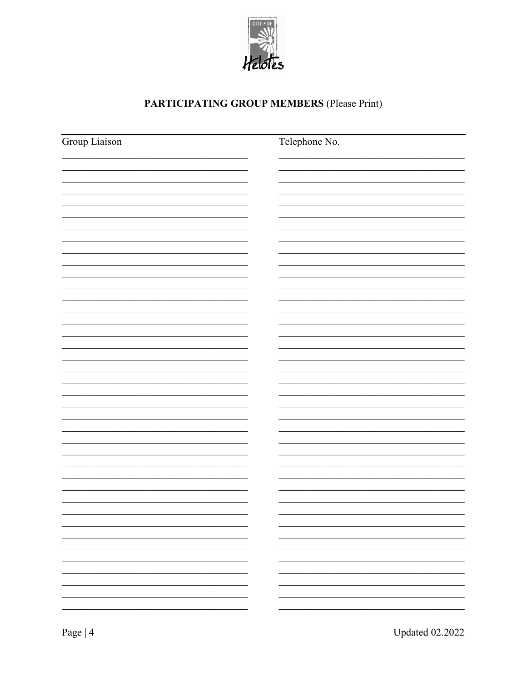

# PARTICIPATING GROUP MEMBERS (Please Print)

| Group Liaison | Telephone No. |
|---------------|---------------|
|               |               |
|               |               |
|               |               |
|               |               |
|               |               |
|               |               |
|               |               |
|               |               |
|               |               |
|               |               |
|               |               |
|               |               |
|               |               |
|               |               |
|               |               |
|               |               |
|               |               |
|               |               |
|               |               |
|               |               |
|               |               |
|               |               |
|               | -             |
|               |               |
|               | -             |
|               |               |
|               |               |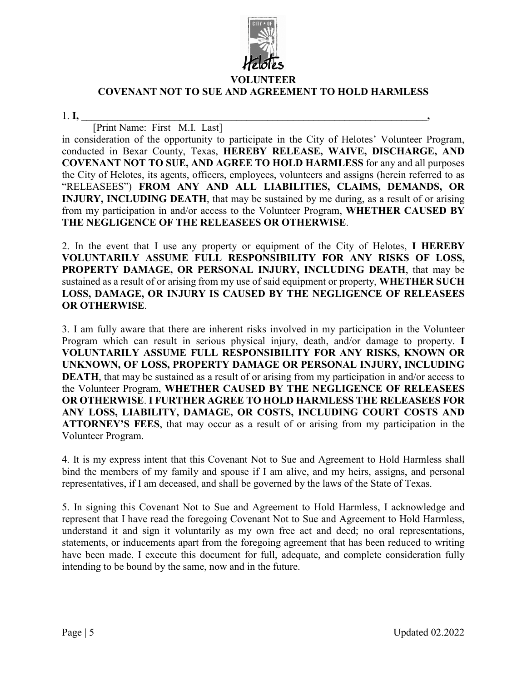

#### **VOLUNTEER**

#### **COVENANT NOT TO SUE AND AGREEMENT TO HOLD HARMLESS**

1. **I, \_\_\_\_\_\_\_\_\_\_\_\_\_\_\_\_\_\_\_\_\_\_\_\_\_\_\_\_\_\_\_\_\_\_\_\_\_\_\_\_\_\_\_\_\_\_\_\_\_\_\_\_\_\_\_\_\_\_\_\_\_\_\_\_\_\_\_,**

[Print Name: First M.I. Last] in consideration of the opportunity to participate in the City of Helotes' Volunteer Program, conducted in Bexar County, Texas, **HEREBY RELEASE, WAIVE, DISCHARGE, AND COVENANT NOT TO SUE, AND AGREE TO HOLD HARMLESS** for any and all purposes the City of Helotes, its agents, officers, employees, volunteers and assigns (herein referred to as "RELEASEES") **FROM ANY AND ALL LIABILITIES, CLAIMS, DEMANDS, OR INJURY, INCLUDING DEATH**, that may be sustained by me during, as a result of or arising from my participation in and/or access to the Volunteer Program, **WHETHER CAUSED BY THE NEGLIGENCE OF THE RELEASEES OR OTHERWISE**.

2. In the event that I use any property or equipment of the City of Helotes, **I HEREBY VOLUNTARILY ASSUME FULL RESPONSIBILITY FOR ANY RISKS OF LOSS, PROPERTY DAMAGE, OR PERSONAL INJURY, INCLUDING DEATH**, that may be sustained as a result of or arising from my use of said equipment or property, **WHETHER SUCH LOSS, DAMAGE, OR INJURY IS CAUSED BY THE NEGLIGENCE OF RELEASEES OR OTHERWISE**.

3. I am fully aware that there are inherent risks involved in my participation in the Volunteer Program which can result in serious physical injury, death, and/or damage to property. **I VOLUNTARILY ASSUME FULL RESPONSIBILITY FOR ANY RISKS, KNOWN OR UNKNOWN, OF LOSS, PROPERTY DAMAGE OR PERSONAL INJURY, INCLUDING DEATH**, that may be sustained as a result of or arising from my participation in and/or access to the Volunteer Program, **WHETHER CAUSED BY THE NEGLIGENCE OF RELEASEES OR OTHERWISE**. **I FURTHER AGREE TO HOLD HARMLESS THE RELEASEES FOR ANY LOSS, LIABILITY, DAMAGE, OR COSTS, INCLUDING COURT COSTS AND ATTORNEY'S FEES**, that may occur as a result of or arising from my participation in the Volunteer Program.

4. It is my express intent that this Covenant Not to Sue and Agreement to Hold Harmless shall bind the members of my family and spouse if I am alive, and my heirs, assigns, and personal representatives, if I am deceased, and shall be governed by the laws of the State of Texas.

5. In signing this Covenant Not to Sue and Agreement to Hold Harmless, I acknowledge and represent that I have read the foregoing Covenant Not to Sue and Agreement to Hold Harmless, understand it and sign it voluntarily as my own free act and deed; no oral representations, statements, or inducements apart from the foregoing agreement that has been reduced to writing have been made. I execute this document for full, adequate, and complete consideration fully intending to be bound by the same, now and in the future.